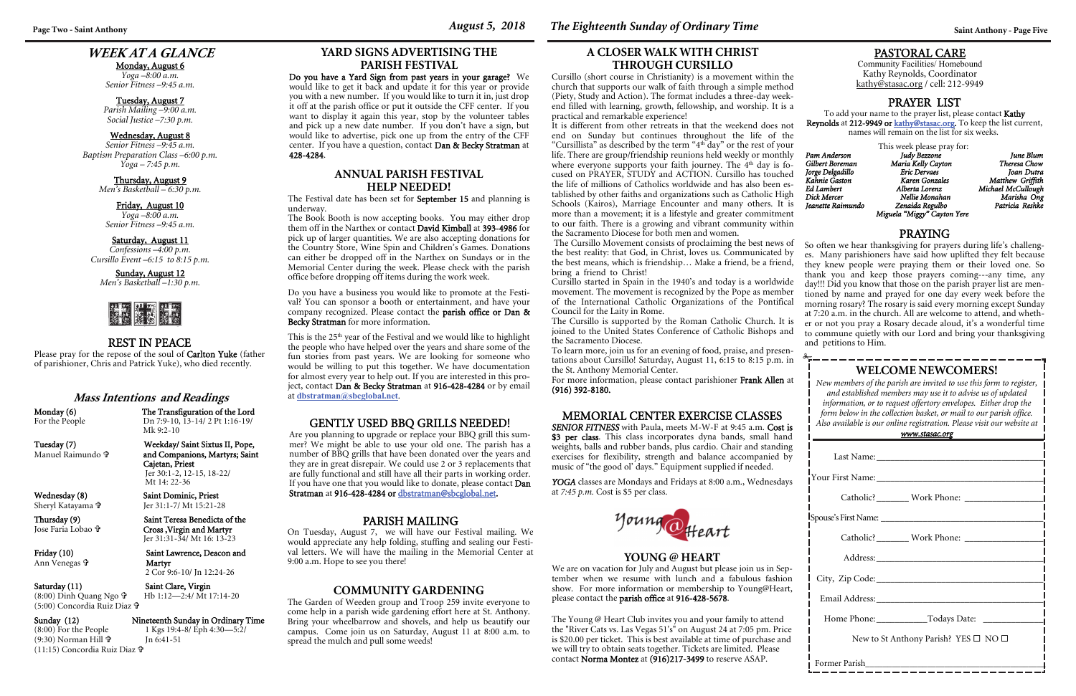## **WEEK AT A GLANCE**

Monday, August 6

*Yoga –8:00 a.m. Senior Fitness –9:45 a.m.* 

Tuesday, August 7 *Parish Mailing –9:00 a.m. Social Justice –7:30 p.m.* 

#### Wednesday, August 8 *Senior Fitness –9:45 a.m. Baptism Preparation Class –6:00 p.m. Yoga – 7:45 p.m.*

#### \_\_\_\_\_\_\_\_\_\_\_\_\_\_\_\_\_\_\_\_\_\_\_\_\_\_\_\_\_ **WELCOME NEWCOMERS!**

Thursday, August 9 *Men's Basketball – 6:30 p.m.* 

Friday, August 10 *Yoga –8:00 a.m. Senior Fitness –9:45 a.m.* 

### Saturday, August 11

*Confessions –4:00 p.m. Cursillo Event –6:15 to 8:15 p.m.* 

Sunday, August 12 *Men's Basketball –1:30 p.m.* 



*New members of the parish are invited to use this form to register, and established members may use it to advise us of updated information, or to request offertory envelopes. Either drop the form below in the collection basket, or mail to our parish office. Also available is our online registration. Please visit our website at* 

| www.stasac.org |  |
|----------------|--|
|                |  |

| Catholic? Work Phone: Victor Marian Catholic?          |  |  |  |
|--------------------------------------------------------|--|--|--|
|                                                        |  |  |  |
|                                                        |  |  |  |
|                                                        |  |  |  |
| Home Phone: ______________Todays Date: _______________ |  |  |  |
| New to St Anthony Parish? YES $\square$ NO $\square$   |  |  |  |
| Former Parish                                          |  |  |  |

For the People Dn 7:9-10, 13-14/2 Pt 1:16-19/ Mk 9:2-10 Weekday/ Saint Sixtus II, Pope, and Companions, Martyrs; Saint

### PASTORAL CARE

Saturday (11) Saint Clare, Virgin Hb 1:12—2:4/ Mt 17:14-20

 $(8:00)$  Dinh Quang Ngo  $\mathbf{\hat{v}}$ (5:00) Concordia Ruiz Diaz

Community Facilities/ Homebound Kathy Reynolds, Coordinator kathy@stasac.org / cell: 212-9949

## REST IN PEACE

Please pray for the repose of the soul of Carlton Yuke (father of parishioner, Chris and Patrick Yuke), who died recently.

#### PRAYING

This week please pray for:<br>Judy Bezzone *Pam Anderson Judy Bezzone June Blum Gilbert Boreman Maria Kelly Cayton Theresa Chow*  **Karen Gonzales** *Ed Lambert Alberta Lorenz Michael McCullough Dick Mercer Nellie Monahan Marisha Ong Jeanette Raimundo Zenaida Regulbo Patricia Reshke Miguela "Miggy" Cayton Yere* 

YOGA classes are Mondays and Fridays at 8:00 a.m., Wednesdays at *7:45 p.m.* Cost is \$5 per class.



## **Mass Intentions and Readings**

Monday (6) The Transfiguration of the Lord

Manuel Raimundo

 Jer 30:1-2, 12-15, 18-22/ Mt 14: 22-36

 Cajetan, Priest Wednesday (8) Saint Dominic, Priest Jer 31:1-7/ Mt 15:21-28

Friday (10) Saint Lawrence, Deacon and

# Sunday (12) Nineteenth Sunday in Ordinary Time<br>
(8:00) For the People 1 Kgs 19:4-8/Eph 4:30—5:2/

Sheryl Katayama

Jose Faria Lobao

Ann Venegas **†** 

Thursday (9) Saint Teresa Benedicta of the Cross ,Virgin and Martyr Jer 31:31-34/ Mt 16: 13-23

> Martyr 2 Cor 9:6-10/ Jn 12:24-26

## (8:00) For the People 1 Kgs 19:4-8/ Eph 4:30—5:2/

Jn 6:41-51

(9:30) Norman Hill (11:15) Concordia Ruiz Diaz

## PRAYER LIST

To add your name to the prayer list, please contact Kathy **Reynolds** at **212-9949 or <u>kathy@stasac.or</u>g.** To keep the list current, names will remain on the list for six weeks.

*Jorge Delgadillo Eric Dervaes Joan Dutra* 

*Matthew Griffith* 

So often we hear thanksgiving for prayers during life's challenges. Many parishioners have said how uplifted they felt because they knew people were praying them or their loved one. So thank you and keep those prayers coming---any time, any day!!! Did you know that those on the parish prayer list are mentioned by name and prayed for one day every week before the morning rosary? The rosary is said every morning except Sunday at 7:20 a.m. in the church. All are welcome to attend, and whether or not you pray a Rosary decade aloud, it's a wonderful time to commune quietly with our Lord and bring your thanksgiving and petitions to Him. The Cursillo Movement consists of proclaiming the best news of

## MEMORIAL CENTER EXERCISE CLASSES

*SENIOR FITNESS* with Paula, meets M-W-F at 9:45 a.m. Cost is \$3 per class. This class incorporates dyna bands, small hand weights, balls and rubber bands, plus cardio. Chair and standing exercises for flexibility, strength and balance accompanied by music of "the good ol' days." Equipment supplied if needed.

### **YOUNG @ HEART**

We are on vacation for July and August but please join us in September when we resume with lunch and a fabulous fashion show. For more information or membership to Young@Heart, please contact the parish office at 916-428-5678.

This is the 25<sup>th</sup> year of the Festival and we would like to highlight the people who have helped over the years and share some of the fun stories from past years. We are looking for someone who would be willing to put this together. We have documentation for almost every year to help out. If you are interested in this project, contact Dan & Becky Stratman at 916-428-4284 or by email at **dbstratman@sbcglobal.net**.

## **A CLOSER WALK WITH CHRIST THROUGH CURSILLO**

Cursillo (short course in Christianity) is a movement within the church that supports our walk of faith through a simple method (Piety, Study and Action). The format includes a three-day weekend filled with learning, growth, fellowship, and worship. It is a practical and remarkable experience!

It is different from other retreats in that the weekend does not end on Sunday but continues throughout the life of the "Cursillista" as described by the term "4th day" or the rest of your life. There are group/friendship reunions held weekly or monthly where everyone supports your faith journey. The  $4<sup>th</sup>$  day is focused on PRAYER, STUDY and ACTION. Cursillo has touched the life of millions of Catholics worldwide and has also been established by other faiths and organizations such as Catholic High Schools (Kairos), Marriage Encounter and many others. It is more than a movement; it is a lifestyle and greater commitment to our faith. There is a growing and vibrant community within the Sacramento Diocese for both men and women.

the best reality: that God, in Christ, loves us. Communicated by the best means, which is friendship… Make a friend, be a friend, bring a friend to Christ! Cursillo started in Spain in the 1940's and today is a worldwide movement. The movement is recognized by the Pope as member of the International Catholic Organizations of the Pontifical Council for the Laity in Rome. The Cursillo is supported by the Roman Catholic Church. It is joined to the United States Conference of Catholic Bishops and the Sacramento Diocese.

To learn more, join us for an evening of food, praise, and presentations about Cursillo! Saturday, August 11, 6:15 to 8:15 p.m. in the St. Anthony Memorial Center.

For more information, please contact parishioner Frank Allen at (916) 392-8180.

## **YARD SIGNS ADVERTISING THE PARISH FESTIVAL**

Do you have a Yard Sign from past years in your garage? We would like to get it back and update it for this year or provide you with a new number. If you would like to turn it in, just drop it off at the parish office or put it outside the CFF center. If you want to display it again this year, stop by the volunteer tables and pick up a new date number. If you don't have a sign, but would like to advertise, pick one up from the entry of the CFF center. If you have a question, contact Dan & Becky Stratman at 428-4284.

## GENTLY USED BBQ GRILLS NEEDED!

Are you planning to upgrade or replace your BBQ grill this summer? We might be able to use your old one. The parish has a number of BBQ grills that have been donated over the years and they are in great disrepair. We could use 2 or 3 replacements that are fully functional and still have all their parts in working order. If you have one that you would like to donate, please contact Dan Stratman at 916-428-4284 or dbstratman@sbcglobal.net.

> The Young @ Heart Club invites you and your family to attend the "River Cats vs. Las Vegas 51's" on August 24 at 7:05 pm. Price is \$20.00 per ticket. This is best available at time of purchase and we will try to obtain seats together. Tickets are limited. Please contact Norma Montez at (916)217-3499 to reserve ASAP.

Page Two - Saint Anthony *Saint Anthony - Page Five <i>August 5, 2018 The Eighteenth Sunday of Ordinary Time**Saint Anthony - Page Five* 

### **ANNUAL PARISH FESTIVAL HELP NEEDED!**

The Festival date has been set for September 15 and planning is underway.

The Book Booth is now accepting books. You may either drop them off in the Narthex or contact **David Kimball** at **393-4986** for pick up of larger quantities. We are also accepting donations for the Country Store, Wine Spin and Children's Games. Donations can either be dropped off in the Narthex on Sundays or in the Memorial Center during the week. Please check with the parish office before dropping off items during the work week.

Do you have a business you would like to promote at the Festival? You can sponsor a booth or entertainment, and have your company recognized. Please contact the parish office or Dan & Becky Stratman for more information.

## **COMMUNITY GARDENING**

The Garden of Weeden group and Troop 259 invite everyone to come help in a parish wide gardening effort here at St. Anthony. Bring your wheelbarrow and shovels, and help us beautify our campus. Come join us on Saturday, August 11 at 8:00 a.m. to spread the mulch and pull some weeds!

## PARISH MAILING

On Tuesday, August 7, we will have our Festival mailing. We would appreciate any help folding, stuffing and sealing our Festival letters. We will have the mailing in the Memorial Center at 9:00 a.m. Hope to see you there!